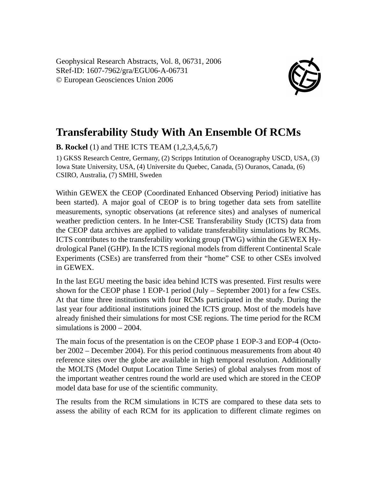Geophysical Research Abstracts, Vol. 8, 06731, 2006 SRef-ID: 1607-7962/gra/EGU06-A-06731 © European Geosciences Union 2006



## **Transferability Study With An Ensemble Of RCMs**

**B. Rockel** (1) and THE ICTS TEAM (1,2,3,4,5,6,7)

1) GKSS Research Centre, Germany, (2) Scripps Intitution of Oceanography USCD, USA, (3) Iowa State University, USA, (4) Universite du Quebec, Canada, (5) Ouranos, Canada, (6) CSIRO, Australia, (7) SMHI, Sweden

Within GEWEX the CEOP (Coordinated Enhanced Observing Period) initiative has been started). A major goal of CEOP is to bring together data sets from satellite measurements, synoptic observations (at reference sites) and analyses of numerical weather prediction centers. In he Inter-CSE Transferability Study (ICTS) data from the CEOP data archives are applied to validate transferability simulations by RCMs. ICTS contributes to the transferability working group (TWG) within the GEWEX Hydrological Panel (GHP). In the ICTS regional models from different Continental Scale Experiments (CSEs) are transferred from their "home" CSE to other CSEs involved in GEWEX.

In the last EGU meeting the basic idea behind ICTS was presented. First results were shown for the CEOP phase 1 EOP-1 period (July – September 2001) for a few CSEs. At that time three institutions with four RCMs participated in the study. During the last year four additional institutions joined the ICTS group. Most of the models have already finished their simulations for most CSE regions. The time period for the RCM simulations is 2000 – 2004.

The main focus of the presentation is on the CEOP phase 1 EOP-3 and EOP-4 (October 2002 – December 2004). For this period continuous measurements from about 40 reference sites over the globe are available in high temporal resolution. Additionally the MOLTS (Model Output Location Time Series) of global analyses from most of the important weather centres round the world are used which are stored in the CEOP model data base for use of the scientific community.

The results from the RCM simulations in ICTS are compared to these data sets to assess the ability of each RCM for its application to different climate regimes on